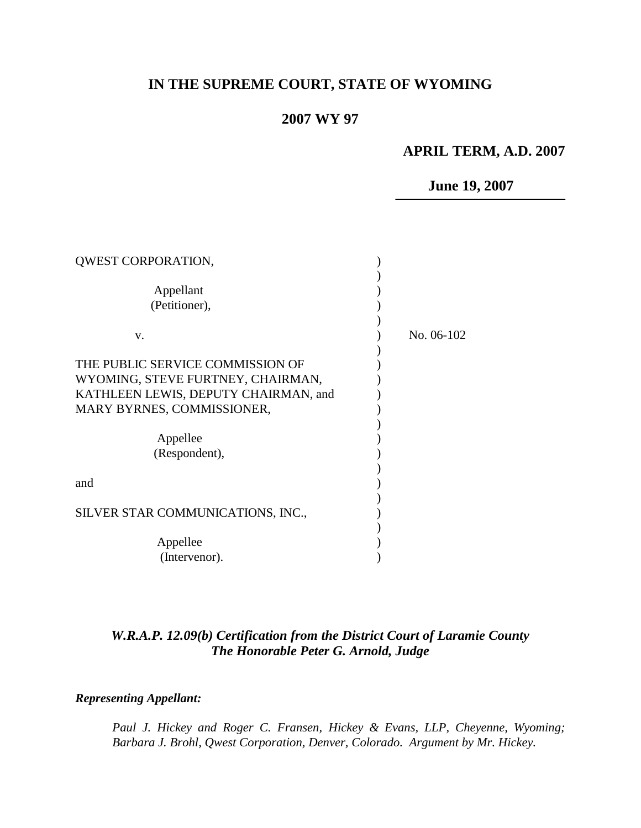# **IN THE SUPREME COURT, STATE OF WYOMING**

# **2007 WY 97**

# **APRIL TERM, A.D. 2007**

# **June 19, 2007**

| QWEST CORPORATION,                   |            |
|--------------------------------------|------------|
| Appellant                            |            |
| (Petitioner),                        |            |
| V.                                   | No. 06-102 |
| THE PUBLIC SERVICE COMMISSION OF     |            |
| WYOMING, STEVE FURTNEY, CHAIRMAN,    |            |
| KATHLEEN LEWIS, DEPUTY CHAIRMAN, and |            |
| MARY BYRNES, COMMISSIONER,           |            |
|                                      |            |
| Appellee                             |            |
| (Respondent),                        |            |
|                                      |            |
| and                                  |            |
|                                      |            |
| SILVER STAR COMMUNICATIONS, INC.,    |            |
|                                      |            |
| Appellee                             |            |
| (Intervenor).                        |            |

# *W.R.A.P. 12.09(b) Certification from the District Court of Laramie County The Honorable Peter G. Arnold, Judge*

### *Representing Appellant:*

*Paul J. Hickey and Roger C. Fransen, Hickey & Evans, LLP, Cheyenne, Wyoming; Barbara J. Brohl, Qwest Corporation, Denver, Colorado. Argument by Mr. Hickey.*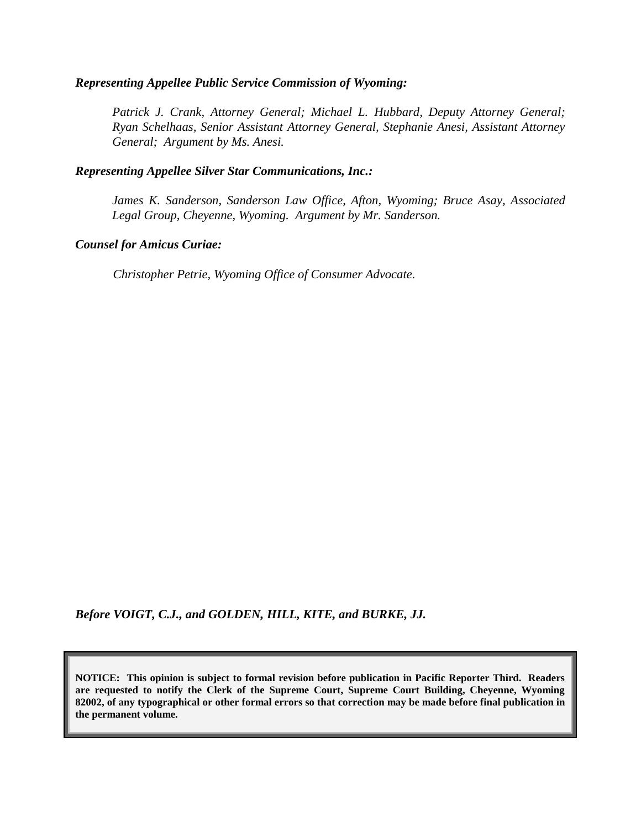#### *Representing Appellee Public Service Commission of Wyoming:*

*Patrick J. Crank, Attorney General; Michael L. Hubbard, Deputy Attorney General; Ryan Schelhaas, Senior Assistant Attorney General, Stephanie Anesi, Assistant Attorney General; Argument by Ms. Anesi.*

#### *Representing Appellee Silver Star Communications, Inc.:*

*James K. Sanderson, Sanderson Law Office, Afton, Wyoming; Bruce Asay, Associated Legal Group, Cheyenne, Wyoming. Argument by Mr. Sanderson.*

#### *Counsel for Amicus Curiae:*

*Christopher Petrie, Wyoming Office of Consumer Advocate.*

*Before VOIGT, C.J., and GOLDEN, HILL, KITE, and BURKE, JJ.*

**NOTICE: This opinion is subject to formal revision before publication in Pacific Reporter Third. Readers are requested to notify the Clerk of the Supreme Court, Supreme Court Building, Cheyenne, Wyoming 82002, of any typographical or other formal errors so that correction may be made before final publication in the permanent volume.**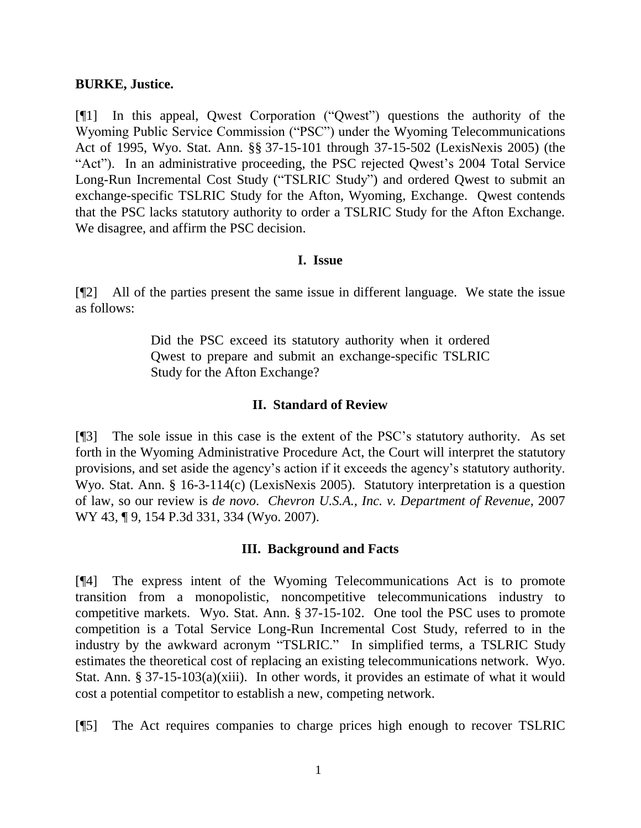#### **BURKE, Justice.**

[¶1] In this appeal, Qwest Corporation ("Qwest") questions the authority of the Wyoming Public Service Commission ("PSC") under the Wyoming Telecommunications Act of 1995, Wyo. Stat. Ann. §§ 37-15-101 through 37-15-502 (LexisNexis 2005) (the "Act"). In an administrative proceeding, the PSC rejected Qwest's 2004 Total Service Long-Run Incremental Cost Study ("TSLRIC Study") and ordered Qwest to submit an exchange-specific TSLRIC Study for the Afton, Wyoming, Exchange. Qwest contends that the PSC lacks statutory authority to order a TSLRIC Study for the Afton Exchange. We disagree, and affirm the PSC decision.

#### **I. Issue**

[¶2] All of the parties present the same issue in different language. We state the issue as follows:

> Did the PSC exceed its statutory authority when it ordered Qwest to prepare and submit an exchange-specific TSLRIC Study for the Afton Exchange?

#### **II. Standard of Review**

[¶3] The sole issue in this case is the extent of the PSC's statutory authority. As set forth in the Wyoming Administrative Procedure Act, the Court will interpret the statutory provisions, and set aside the agency's action if it exceeds the agency's statutory authority. Wyo. Stat. Ann. § 16-3-114(c) (LexisNexis 2005). Statutory interpretation is a question of law, so our review is *de novo*. *Chevron U.S.A., Inc. v. Department of Revenue*, 2007 WY 43, ¶ 9, 154 P.3d 331, 334 (Wyo. 2007).

#### **III. Background and Facts**

[¶4] The express intent of the Wyoming Telecommunications Act is to promote transition from a monopolistic, noncompetitive telecommunications industry to competitive markets. Wyo. Stat. Ann. § 37-15-102. One tool the PSC uses to promote competition is a Total Service Long-Run Incremental Cost Study, referred to in the industry by the awkward acronym "TSLRIC." In simplified terms, a TSLRIC Study estimates the theoretical cost of replacing an existing telecommunications network. Wyo. Stat. Ann. § 37-15-103(a)(xiii). In other words, it provides an estimate of what it would cost a potential competitor to establish a new, competing network.

[¶5] The Act requires companies to charge prices high enough to recover TSLRIC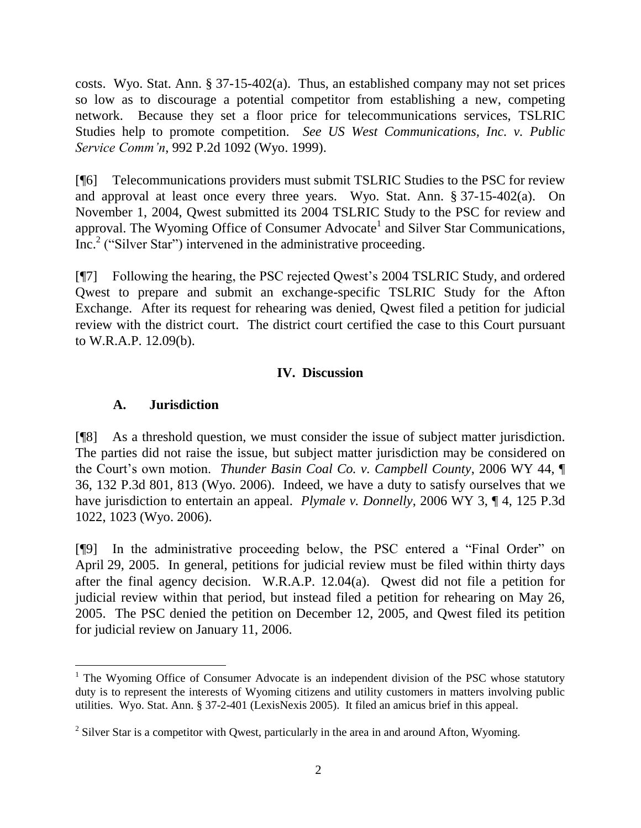costs. Wyo. Stat. Ann. § 37-15-402(a). Thus, an established company may not set prices so low as to discourage a potential competitor from establishing a new, competing network. Because they set a floor price for telecommunications services, TSLRIC Studies help to promote competition. *See US West Communications, Inc. v. Public Service Comm'n*, 992 P.2d 1092 (Wyo. 1999).

[¶6] Telecommunications providers must submit TSLRIC Studies to the PSC for review and approval at least once every three years. Wyo. Stat. Ann. § 37-15-402(a). On November 1, 2004, Qwest submitted its 2004 TSLRIC Study to the PSC for review and approval. The Wyoming Office of Consumer Advocate<sup>1</sup> and Silver Star Communications, Inc.<sup>2</sup> ("Silver Star") intervened in the administrative proceeding.

[¶7] Following the hearing, the PSC rejected Qwest's 2004 TSLRIC Study, and ordered Qwest to prepare and submit an exchange-specific TSLRIC Study for the Afton Exchange. After its request for rehearing was denied, Qwest filed a petition for judicial review with the district court. The district court certified the case to this Court pursuant to W.R.A.P. 12.09(b).

## **IV. Discussion**

### **A. Jurisdiction**

 $\overline{a}$ 

[¶8] As a threshold question, we must consider the issue of subject matter jurisdiction. The parties did not raise the issue, but subject matter jurisdiction may be considered on the Court's own motion. *Thunder Basin Coal Co. v. Campbell County*, 2006 WY 44, ¶ 36, 132 P.3d 801, 813 (Wyo. 2006). Indeed, we have a duty to satisfy ourselves that we have jurisdiction to entertain an appeal. *Plymale v. Donnelly*, 2006 WY 3, ¶ 4, 125 P.3d 1022, 1023 (Wyo. 2006).

[¶9] In the administrative proceeding below, the PSC entered a "Final Order" on April 29, 2005. In general, petitions for judicial review must be filed within thirty days after the final agency decision. W.R.A.P. 12.04(a). Qwest did not file a petition for judicial review within that period, but instead filed a petition for rehearing on May 26, 2005. The PSC denied the petition on December 12, 2005, and Qwest filed its petition for judicial review on January 11, 2006.

<sup>&</sup>lt;sup>1</sup> The Wyoming Office of Consumer Advocate is an independent division of the PSC whose statutory duty is to represent the interests of Wyoming citizens and utility customers in matters involving public utilities. Wyo. Stat. Ann. § 37-2-401 (LexisNexis 2005). It filed an amicus brief in this appeal.

 $2^2$  Silver Star is a competitor with Qwest, particularly in the area in and around Afton, Wyoming.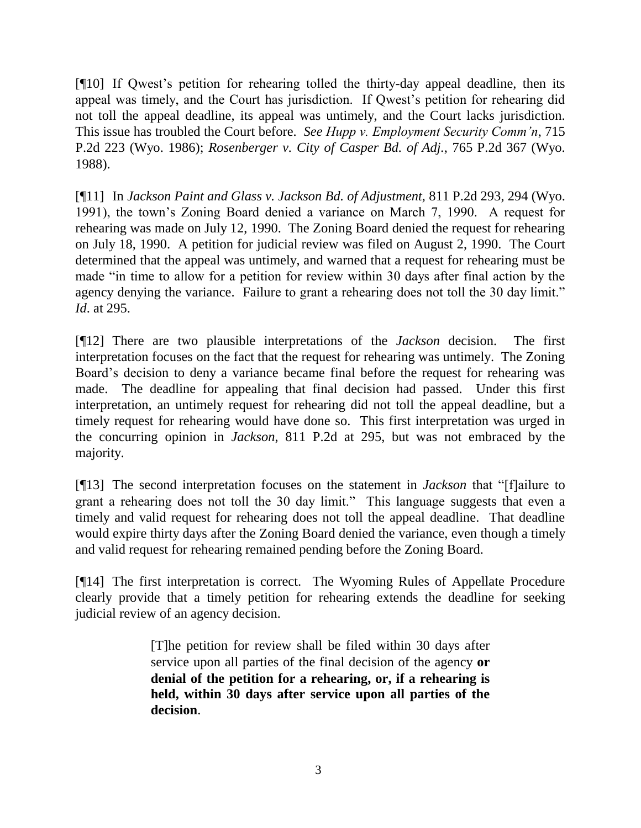[¶10] If Qwest's petition for rehearing tolled the thirty-day appeal deadline, then its appeal was timely, and the Court has jurisdiction. If Qwest's petition for rehearing did not toll the appeal deadline, its appeal was untimely, and the Court lacks jurisdiction. This issue has troubled the Court before. *See Hupp v. Employment Security Comm'n*, 715 P.2d 223 (Wyo. 1986); *Rosenberger v. City of Casper Bd. of Adj.*, 765 P.2d 367 (Wyo. 1988).

[¶11] In *Jackson Paint and Glass v. Jackson Bd. of Adjustment*, 811 P.2d 293, 294 (Wyo. 1991), the town's Zoning Board denied a variance on March 7, 1990. A request for rehearing was made on July 12, 1990. The Zoning Board denied the request for rehearing on July 18, 1990. A petition for judicial review was filed on August 2, 1990. The Court determined that the appeal was untimely, and warned that a request for rehearing must be made "in time to allow for a petition for review within 30 days after final action by the agency denying the variance. Failure to grant a rehearing does not toll the 30 day limit." *Id*. at 295.

[¶12] There are two plausible interpretations of the *Jackson* decision. The first interpretation focuses on the fact that the request for rehearing was untimely. The Zoning Board's decision to deny a variance became final before the request for rehearing was made. The deadline for appealing that final decision had passed. Under this first interpretation, an untimely request for rehearing did not toll the appeal deadline, but a timely request for rehearing would have done so. This first interpretation was urged in the concurring opinion in *Jackson*, 811 P.2d at 295, but was not embraced by the majority.

[¶13] The second interpretation focuses on the statement in *Jackson* that "[f]ailure to grant a rehearing does not toll the 30 day limit." This language suggests that even a timely and valid request for rehearing does not toll the appeal deadline. That deadline would expire thirty days after the Zoning Board denied the variance, even though a timely and valid request for rehearing remained pending before the Zoning Board.

[¶14] The first interpretation is correct. The Wyoming Rules of Appellate Procedure clearly provide that a timely petition for rehearing extends the deadline for seeking judicial review of an agency decision.

> [T]he petition for review shall be filed within 30 days after service upon all parties of the final decision of the agency **or denial of the petition for a rehearing, or, if a rehearing is held, within 30 days after service upon all parties of the decision**.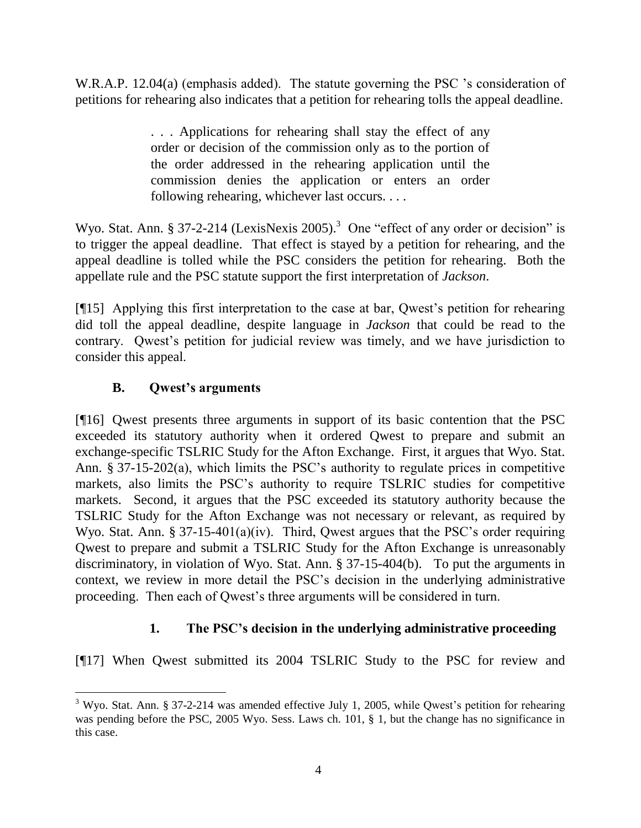W.R.A.P. 12.04(a) (emphasis added). The statute governing the PSC 's consideration of petitions for rehearing also indicates that a petition for rehearing tolls the appeal deadline.

> . . . Applications for rehearing shall stay the effect of any order or decision of the commission only as to the portion of the order addressed in the rehearing application until the commission denies the application or enters an order following rehearing, whichever last occurs. . . .

Wyo. Stat. Ann. § 37-2-214 (LexisNexis 2005).<sup>3</sup> One "effect of any order or decision" is to trigger the appeal deadline. That effect is stayed by a petition for rehearing, and the appeal deadline is tolled while the PSC considers the petition for rehearing. Both the appellate rule and the PSC statute support the first interpretation of *Jackson*.

[¶15] Applying this first interpretation to the case at bar, Qwest's petition for rehearing did toll the appeal deadline, despite language in *Jackson* that could be read to the contrary. Qwest's petition for judicial review was timely, and we have jurisdiction to consider this appeal.

# **B. Qwest's arguments**

[¶16] Qwest presents three arguments in support of its basic contention that the PSC exceeded its statutory authority when it ordered Qwest to prepare and submit an exchange-specific TSLRIC Study for the Afton Exchange. First, it argues that Wyo. Stat. Ann. § 37-15-202(a), which limits the PSC's authority to regulate prices in competitive markets, also limits the PSC's authority to require TSLRIC studies for competitive markets. Second, it argues that the PSC exceeded its statutory authority because the TSLRIC Study for the Afton Exchange was not necessary or relevant, as required by Wyo. Stat. Ann. § 37-15-401(a)(iv). Third, Qwest argues that the PSC's order requiring Qwest to prepare and submit a TSLRIC Study for the Afton Exchange is unreasonably discriminatory, in violation of Wyo. Stat. Ann. § 37-15-404(b). To put the arguments in context, we review in more detail the PSC's decision in the underlying administrative proceeding. Then each of Qwest's three arguments will be considered in turn.

# **1. The PSC's decision in the underlying administrative proceeding**

[¶17] When Qwest submitted its 2004 TSLRIC Study to the PSC for review and

 $\overline{a}$ <sup>3</sup> Wyo. Stat. Ann. § 37-2-214 was amended effective July 1, 2005, while Owest's petition for rehearing was pending before the PSC, 2005 Wyo. Sess. Laws ch. 101, § 1, but the change has no significance in this case.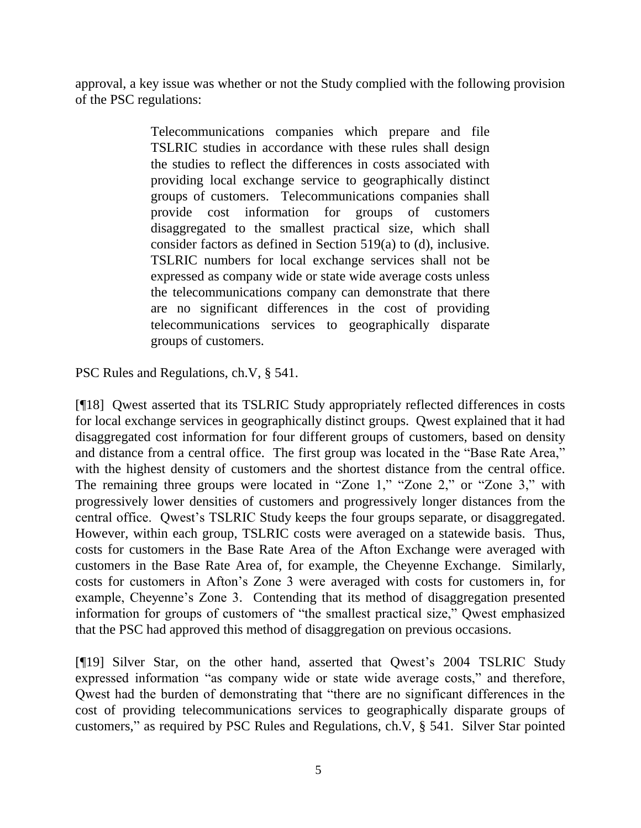approval, a key issue was whether or not the Study complied with the following provision of the PSC regulations:

> Telecommunications companies which prepare and file TSLRIC studies in accordance with these rules shall design the studies to reflect the differences in costs associated with providing local exchange service to geographically distinct groups of customers. Telecommunications companies shall provide cost information for groups of customers disaggregated to the smallest practical size, which shall consider factors as defined in Section 519(a) to (d), inclusive. TSLRIC numbers for local exchange services shall not be expressed as company wide or state wide average costs unless the telecommunications company can demonstrate that there are no significant differences in the cost of providing telecommunications services to geographically disparate groups of customers.

PSC Rules and Regulations, ch.V, § 541.

[¶18] Qwest asserted that its TSLRIC Study appropriately reflected differences in costs for local exchange services in geographically distinct groups. Qwest explained that it had disaggregated cost information for four different groups of customers, based on density and distance from a central office. The first group was located in the "Base Rate Area," with the highest density of customers and the shortest distance from the central office. The remaining three groups were located in "Zone 1," "Zone 2," or "Zone 3," with progressively lower densities of customers and progressively longer distances from the central office. Qwest's TSLRIC Study keeps the four groups separate, or disaggregated. However, within each group, TSLRIC costs were averaged on a statewide basis. Thus, costs for customers in the Base Rate Area of the Afton Exchange were averaged with customers in the Base Rate Area of, for example, the Cheyenne Exchange. Similarly, costs for customers in Afton's Zone 3 were averaged with costs for customers in, for example, Cheyenne's Zone 3. Contending that its method of disaggregation presented information for groups of customers of "the smallest practical size," Qwest emphasized that the PSC had approved this method of disaggregation on previous occasions.

[¶19] Silver Star, on the other hand, asserted that Qwest's 2004 TSLRIC Study expressed information "as company wide or state wide average costs," and therefore, Qwest had the burden of demonstrating that "there are no significant differences in the cost of providing telecommunications services to geographically disparate groups of customers," as required by PSC Rules and Regulations, ch.V, § 541. Silver Star pointed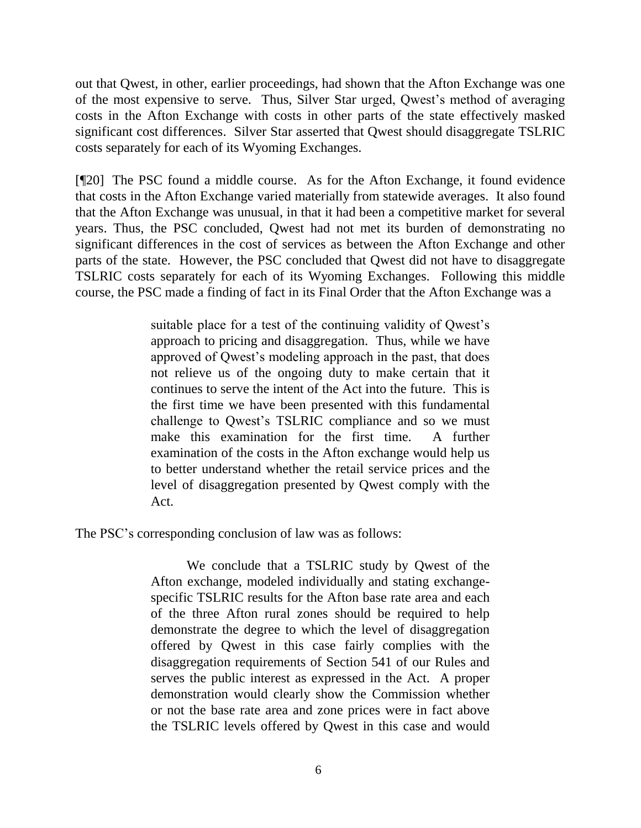out that Qwest, in other, earlier proceedings, had shown that the Afton Exchange was one of the most expensive to serve. Thus, Silver Star urged, Qwest's method of averaging costs in the Afton Exchange with costs in other parts of the state effectively masked significant cost differences. Silver Star asserted that Qwest should disaggregate TSLRIC costs separately for each of its Wyoming Exchanges.

[¶20] The PSC found a middle course. As for the Afton Exchange, it found evidence that costs in the Afton Exchange varied materially from statewide averages. It also found that the Afton Exchange was unusual, in that it had been a competitive market for several years. Thus, the PSC concluded, Qwest had not met its burden of demonstrating no significant differences in the cost of services as between the Afton Exchange and other parts of the state. However, the PSC concluded that Qwest did not have to disaggregate TSLRIC costs separately for each of its Wyoming Exchanges. Following this middle course, the PSC made a finding of fact in its Final Order that the Afton Exchange was a

> suitable place for a test of the continuing validity of Qwest's approach to pricing and disaggregation. Thus, while we have approved of Qwest's modeling approach in the past, that does not relieve us of the ongoing duty to make certain that it continues to serve the intent of the Act into the future. This is the first time we have been presented with this fundamental challenge to Qwest's TSLRIC compliance and so we must make this examination for the first time. A further examination of the costs in the Afton exchange would help us to better understand whether the retail service prices and the level of disaggregation presented by Qwest comply with the Act.

The PSC's corresponding conclusion of law was as follows:

We conclude that a TSLRIC study by Qwest of the Afton exchange, modeled individually and stating exchangespecific TSLRIC results for the Afton base rate area and each of the three Afton rural zones should be required to help demonstrate the degree to which the level of disaggregation offered by Qwest in this case fairly complies with the disaggregation requirements of Section 541 of our Rules and serves the public interest as expressed in the Act. A proper demonstration would clearly show the Commission whether or not the base rate area and zone prices were in fact above the TSLRIC levels offered by Qwest in this case and would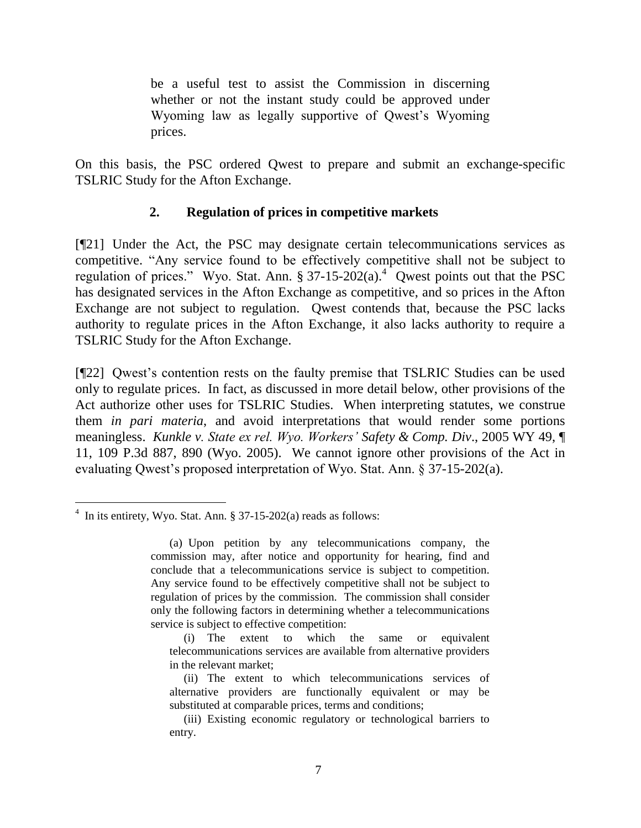be a useful test to assist the Commission in discerning whether or not the instant study could be approved under Wyoming law as legally supportive of Qwest's Wyoming prices.

On this basis, the PSC ordered Qwest to prepare and submit an exchange-specific TSLRIC Study for the Afton Exchange.

## **2. Regulation of prices in competitive markets**

[¶21] Under the Act, the PSC may designate certain telecommunications services as competitive. "Any service found to be effectively competitive shall not be subject to regulation of prices." Wyo. Stat. Ann.  $\S 37-15-202(a)$ .<sup>4</sup> Qwest points out that the PSC has designated services in the Afton Exchange as competitive, and so prices in the Afton Exchange are not subject to regulation. Qwest contends that, because the PSC lacks authority to regulate prices in the Afton Exchange, it also lacks authority to require a TSLRIC Study for the Afton Exchange.

[¶22] Qwest's contention rests on the faulty premise that TSLRIC Studies can be used only to regulate prices. In fact, as discussed in more detail below, other provisions of the Act authorize other uses for TSLRIC Studies. When interpreting statutes, we construe them *in pari materia*, and avoid interpretations that would render some portions meaningless. *Kunkle v. State ex rel. Wyo. Workers' Safety & Comp. Div*., 2005 WY 49, ¶ 11, 109 P.3d 887, 890 (Wyo. 2005). We cannot ignore other provisions of the Act in evaluating Qwest's proposed interpretation of Wyo. Stat. Ann. § 37-15-202(a).

 $\overline{a}$  $4$  In its entirety, Wyo. Stat. Ann. § 37-15-202(a) reads as follows:

<sup>(</sup>a) Upon petition by any telecommunications company, the commission may, after notice and opportunity for hearing, find and conclude that a telecommunications service is subject to competition. Any service found to be effectively competitive shall not be subject to regulation of prices by the commission. The commission shall consider only the following factors in determining whether a telecommunications service is subject to effective competition:

<sup>(</sup>i) The extent to which the same or equivalent telecommunications services are available from alternative providers in the relevant market;

<sup>(</sup>ii) The extent to which telecommunications services of alternative providers are functionally equivalent or may be substituted at comparable prices, terms and conditions;

<sup>(</sup>iii) Existing economic regulatory or technological barriers to entry.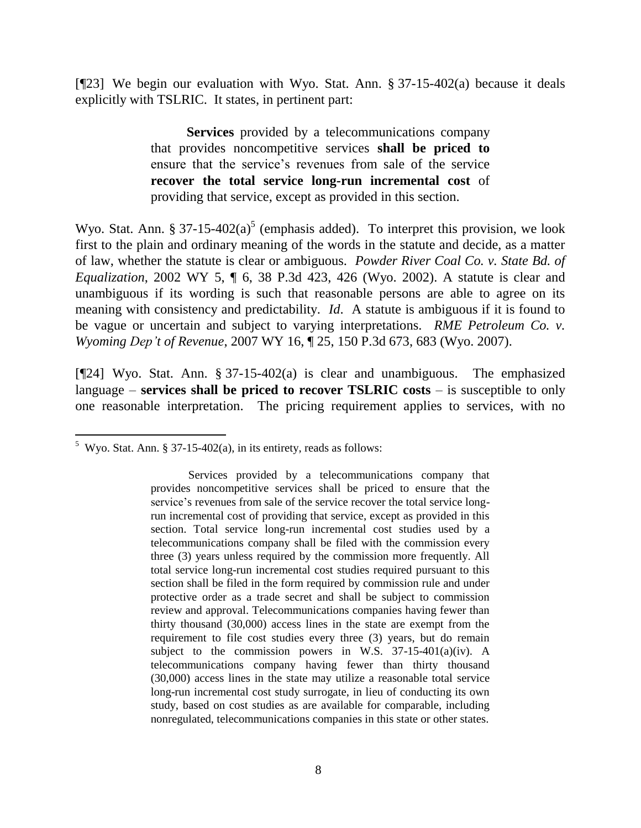[¶23] We begin our evaluation with Wyo. Stat. Ann. § 37-15-402(a) because it deals explicitly with TSLRIC. It states, in pertinent part:

> **Services** provided by a telecommunications company that provides noncompetitive services **shall be priced to** ensure that the service's revenues from sale of the service **recover the total service long-run incremental cost** of providing that service, except as provided in this section.

Wyo. Stat. Ann. § 37-15-402(a)<sup>5</sup> (emphasis added). To interpret this provision, we look first to the plain and ordinary meaning of the words in the statute and decide, as a matter of law, whether the statute is clear or ambiguous. *Powder River Coal Co. v. State Bd. of Equalization*, 2002 WY 5, ¶ 6, 38 P.3d 423, 426 (Wyo. 2002). A statute is clear and unambiguous if its wording is such that reasonable persons are able to agree on its meaning with consistency and predictability. *Id*. A statute is ambiguous if it is found to be vague or uncertain and subject to varying interpretations. *RME Petroleum Co. v. Wyoming Dep't of Revenue*, 2007 WY 16, ¶ 25, 150 P.3d 673, 683 (Wyo. 2007).

[¶24] Wyo. Stat. Ann. § 37-15-402(a) is clear and unambiguous. The emphasized language – **services shall be priced to recover TSLRIC costs** – is susceptible to only one reasonable interpretation. The pricing requirement applies to services, with no

<sup>&</sup>lt;sup>5</sup> Wyo. Stat. Ann. § 37-15-402(a), in its entirety, reads as follows:

Services provided by a telecommunications company that provides noncompetitive services shall be priced to ensure that the service's revenues from sale of the service recover the total service longrun incremental cost of providing that service, except as provided in this section. Total service long-run incremental cost studies used by a telecommunications company shall be filed with the commission every three (3) years unless required by the commission more frequently. All total service long-run incremental cost studies required pursuant to this section shall be filed in the form required by commission rule and under protective order as a trade secret and shall be subject to commission review and approval. Telecommunications companies having fewer than thirty thousand (30,000) access lines in the state are exempt from the requirement to file cost studies every three (3) years, but do remain subject to the commission powers in W.S. 37-15-401(a)(iv). A telecommunications company having fewer than thirty thousand (30,000) access lines in the state may utilize a reasonable total service long-run incremental cost study surrogate, in lieu of conducting its own study, based on cost studies as are available for comparable, including nonregulated, telecommunications companies in this state or other states.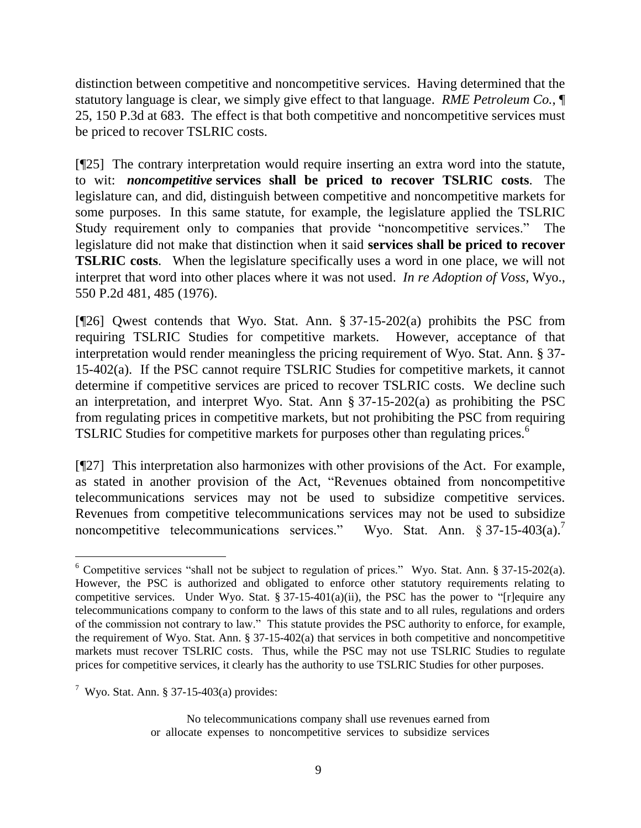distinction between competitive and noncompetitive services. Having determined that the statutory language is clear, we simply give effect to that language. *RME Petroleum Co.*, ¶ 25, 150 P.3d at 683. The effect is that both competitive and noncompetitive services must be priced to recover TSLRIC costs.

[¶25] The contrary interpretation would require inserting an extra word into the statute, to wit: *noncompetitive* **services shall be priced to recover TSLRIC costs**. The legislature can, and did, distinguish between competitive and noncompetitive markets for some purposes. In this same statute, for example, the legislature applied the TSLRIC Study requirement only to companies that provide "noncompetitive services." The legislature did not make that distinction when it said **services shall be priced to recover TSLRIC costs**. When the legislature specifically uses a word in one place, we will not interpret that word into other places where it was not used. *In re Adoption of Voss*, Wyo., 550 P.2d 481, 485 (1976).

[¶26] Qwest contends that Wyo. Stat. Ann. § 37-15-202(a) prohibits the PSC from requiring TSLRIC Studies for competitive markets. However, acceptance of that interpretation would render meaningless the pricing requirement of Wyo. Stat. Ann. § 37- 15-402(a). If the PSC cannot require TSLRIC Studies for competitive markets, it cannot determine if competitive services are priced to recover TSLRIC costs. We decline such an interpretation, and interpret Wyo. Stat. Ann § 37-15-202(a) as prohibiting the PSC from regulating prices in competitive markets, but not prohibiting the PSC from requiring TSLRIC Studies for competitive markets for purposes other than regulating prices.<sup>6</sup>

[¶27] This interpretation also harmonizes with other provisions of the Act. For example, as stated in another provision of the Act, "Revenues obtained from noncompetitive telecommunications services may not be used to subsidize competitive services. Revenues from competitive telecommunications services may not be used to subsidize noncompetitive telecommunications services." 7

<sup>6</sup> Competitive services "shall not be subject to regulation of prices." Wyo. Stat. Ann. § 37-15-202(a). However, the PSC is authorized and obligated to enforce other statutory requirements relating to competitive services. Under Wyo. Stat. § 37-15-401(a)(ii), the PSC has the power to "[r]equire any telecommunications company to conform to the laws of this state and to all rules, regulations and orders of the commission not contrary to law." This statute provides the PSC authority to enforce, for example, the requirement of Wyo. Stat. Ann. § 37-15-402(a) that services in both competitive and noncompetitive markets must recover TSLRIC costs. Thus, while the PSC may not use TSLRIC Studies to regulate prices for competitive services, it clearly has the authority to use TSLRIC Studies for other purposes.

 $7$  Wyo. Stat. Ann. § 37-15-403(a) provides:

No telecommunications company shall use revenues earned from or allocate expenses to noncompetitive services to subsidize services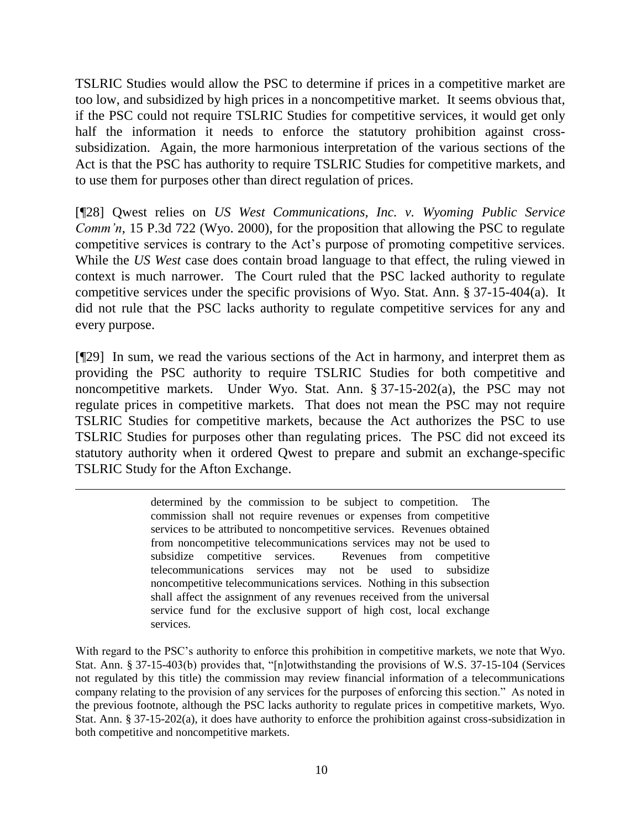TSLRIC Studies would allow the PSC to determine if prices in a competitive market are too low, and subsidized by high prices in a noncompetitive market. It seems obvious that, if the PSC could not require TSLRIC Studies for competitive services, it would get only half the information it needs to enforce the statutory prohibition against crosssubsidization. Again, the more harmonious interpretation of the various sections of the Act is that the PSC has authority to require TSLRIC Studies for competitive markets, and to use them for purposes other than direct regulation of prices.

[¶28] Qwest relies on *US West Communications, Inc. v. Wyoming Public Service Comm'n*, 15 P.3d 722 (Wyo. 2000), for the proposition that allowing the PSC to regulate competitive services is contrary to the Act's purpose of promoting competitive services. While the *US West* case does contain broad language to that effect, the ruling viewed in context is much narrower. The Court ruled that the PSC lacked authority to regulate competitive services under the specific provisions of Wyo. Stat. Ann. § 37-15-404(a). It did not rule that the PSC lacks authority to regulate competitive services for any and every purpose.

[¶29] In sum, we read the various sections of the Act in harmony, and interpret them as providing the PSC authority to require TSLRIC Studies for both competitive and noncompetitive markets. Under Wyo. Stat. Ann. § 37-15-202(a), the PSC may not regulate prices in competitive markets. That does not mean the PSC may not require TSLRIC Studies for competitive markets, because the Act authorizes the PSC to use TSLRIC Studies for purposes other than regulating prices. The PSC did not exceed its statutory authority when it ordered Qwest to prepare and submit an exchange-specific TSLRIC Study for the Afton Exchange.

> determined by the commission to be subject to competition. The commission shall not require revenues or expenses from competitive services to be attributed to noncompetitive services. Revenues obtained from noncompetitive telecommunications services may not be used to subsidize competitive services. Revenues from competitive telecommunications services may not be used to subsidize noncompetitive telecommunications services. Nothing in this subsection shall affect the assignment of any revenues received from the universal service fund for the exclusive support of high cost, local exchange services.

 $\overline{a}$ 

With regard to the PSC's authority to enforce this prohibition in competitive markets, we note that Wyo. Stat. Ann. § 37-15-403(b) provides that, "[n]otwithstanding the provisions of W.S. 37-15-104 (Services not regulated by this title) the commission may review financial information of a telecommunications company relating to the provision of any services for the purposes of enforcing this section." As noted in the previous footnote, although the PSC lacks authority to regulate prices in competitive markets, Wyo. Stat. Ann. § 37-15-202(a), it does have authority to enforce the prohibition against cross-subsidization in both competitive and noncompetitive markets.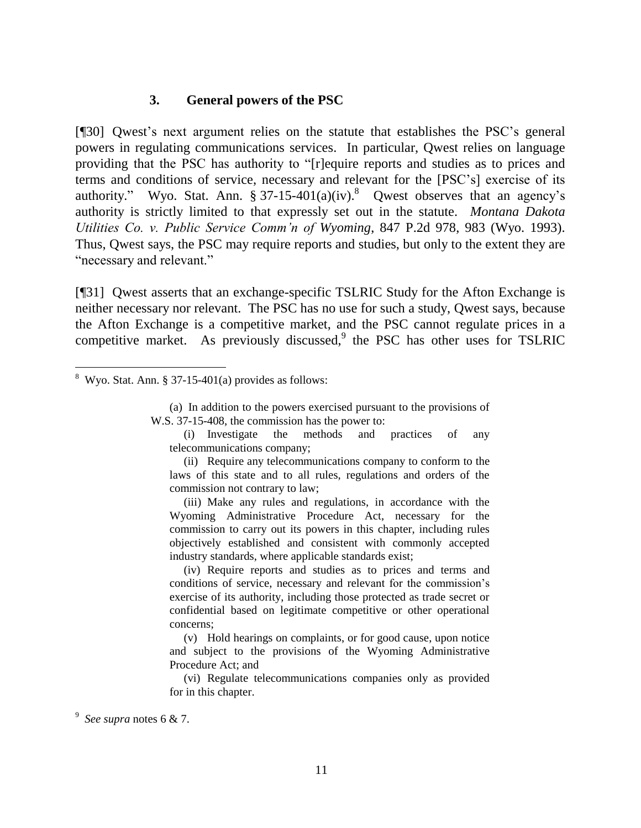#### **3. General powers of the PSC**

[¶30] Qwest's next argument relies on the statute that establishes the PSC's general powers in regulating communications services. In particular, Qwest relies on language providing that the PSC has authority to "[r]equire reports and studies as to prices and terms and conditions of service, necessary and relevant for the [PSC's] exercise of its authority." Wyo. Stat. Ann.  $\S 37-15-401(a)(iv).$ <sup>8</sup> Qwest observes that an agency's authority is strictly limited to that expressly set out in the statute. *Montana Dakota Utilities Co. v. Public Service Comm'n of Wyoming*, 847 P.2d 978, 983 (Wyo. 1993). Thus, Qwest says, the PSC may require reports and studies, but only to the extent they are "necessary and relevant."

[¶31] Qwest asserts that an exchange-specific TSLRIC Study for the Afton Exchange is neither necessary nor relevant. The PSC has no use for such a study, Qwest says, because the Afton Exchange is a competitive market, and the PSC cannot regulate prices in a competitive market. As previously discussed,<sup>9</sup> the PSC has other uses for TSLRIC

(a) In addition to the powers exercised pursuant to the provisions of W.S. 37-15-408, the commission has the power to:

(i) Investigate the methods and practices of any telecommunications company;

(ii) Require any telecommunications company to conform to the laws of this state and to all rules, regulations and orders of the commission not contrary to law;

(iii) Make any rules and regulations, in accordance with the Wyoming Administrative Procedure Act, necessary for the commission to carry out its powers in this chapter, including rules objectively established and consistent with commonly accepted industry standards, where applicable standards exist;

(iv) Require reports and studies as to prices and terms and conditions of service, necessary and relevant for the commission's exercise of its authority, including those protected as trade secret or confidential based on legitimate competitive or other operational concerns;

(v) Hold hearings on complaints, or for good cause, upon notice and subject to the provisions of the Wyoming Administrative Procedure Act; and

(vi) Regulate telecommunications companies only as provided for in this chapter.

9 *See supra* notes 6 & 7.

 $8$  Wyo. Stat. Ann. § 37-15-401(a) provides as follows: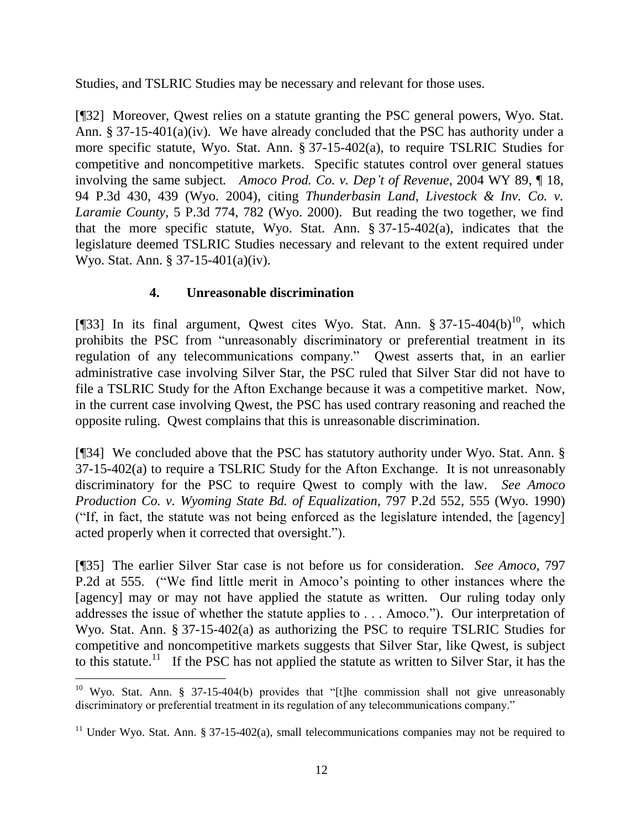Studies, and TSLRIC Studies may be necessary and relevant for those uses.

[¶32] Moreover, Qwest relies on a statute granting the PSC general powers, Wyo. Stat. Ann. § 37-15-401(a)(iv). We have already concluded that the PSC has authority under a more specific statute, Wyo. Stat. Ann. § 37-15-402(a), to require TSLRIC Studies for competitive and noncompetitive markets. Specific statutes control over general statues involving the same subject*. Amoco Prod. Co. v. Dep't of Revenue*, 2004 WY 89, ¶ 18, 94 P.3d 430, 439 (Wyo. 2004), citing *Thunderbasin Land, Livestock & Inv. Co. v. Laramie County,* 5 P.3d 774, 782 (Wyo. 2000). But reading the two together, we find that the more specific statute, Wyo. Stat. Ann. § 37-15-402(a), indicates that the legislature deemed TSLRIC Studies necessary and relevant to the extent required under Wyo. Stat. Ann. § 37-15-401(a)(iv).

# **4. Unreasonable discrimination**

[ $[$ ]33] In its final argument, Owest cites Wyo. Stat. Ann. § 37-15-404(b)<sup>10</sup>, which prohibits the PSC from "unreasonably discriminatory or preferential treatment in its regulation of any telecommunications company." Qwest asserts that, in an earlier administrative case involving Silver Star, the PSC ruled that Silver Star did not have to file a TSLRIC Study for the Afton Exchange because it was a competitive market. Now, in the current case involving Qwest, the PSC has used contrary reasoning and reached the opposite ruling. Qwest complains that this is unreasonable discrimination.

[¶34] We concluded above that the PSC has statutory authority under Wyo. Stat. Ann. § 37-15-402(a) to require a TSLRIC Study for the Afton Exchange. It is not unreasonably discriminatory for the PSC to require Qwest to comply with the law. *See Amoco Production Co. v. Wyoming State Bd. of Equalization*, 797 P.2d 552, 555 (Wyo. 1990) ("If, in fact, the statute was not being enforced as the legislature intended, the [agency] acted properly when it corrected that oversight.").

[¶35] The earlier Silver Star case is not before us for consideration. *See Amoco,* 797 P.2d at 555. ("We find little merit in Amoco's pointing to other instances where the [agency] may or may not have applied the statute as written. Our ruling today only addresses the issue of whether the statute applies to . . . Amoco."). Our interpretation of Wyo. Stat. Ann. § 37-15-402(a) as authorizing the PSC to require TSLRIC Studies for competitive and noncompetitive markets suggests that Silver Star, like Qwest, is subject to this statute.<sup>11</sup> If the PSC has not applied the statute as written to Silver Star, it has the

<sup>&</sup>lt;sup>10</sup> Wyo. Stat. Ann. § 37-15-404(b) provides that "[t]he commission shall not give unreasonably discriminatory or preferential treatment in its regulation of any telecommunications company."

<sup>&</sup>lt;sup>11</sup> Under Wyo. Stat. Ann. § 37-15-402(a), small telecommunications companies may not be required to